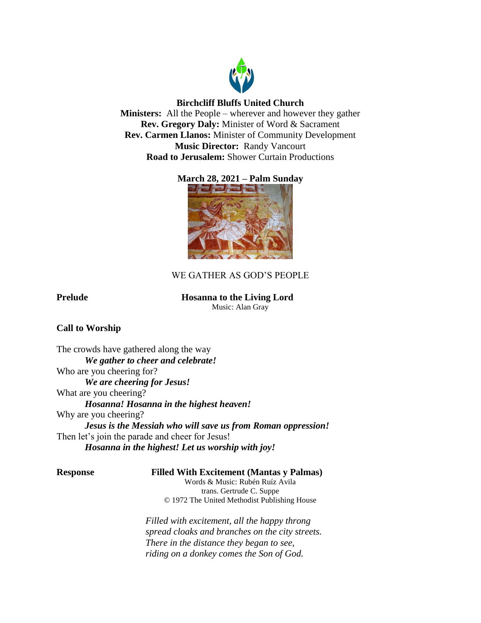

# **Birchcliff Bluffs United Church**

**Ministers:** All the People – wherever and however they gather **Rev. Gregory Daly:** Minister of Word & Sacrament **Rev. Carmen Llanos:** Minister of Community Development **Music Director:** Randy Vancourt **Road to Jerusalem:** Shower Curtain Productions

# **March 28, 2021 – Palm Sunday**



# WE GATHER AS GOD'S PEOPLE

# **Prelude Hosanna to the Living Lord**

Music: Alan Gray

# **Call to Worship**

The crowds have gathered along the way *We gather to cheer and celebrate!* Who are you cheering for? *We are cheering for Jesus!* What are you cheering? *Hosanna! Hosanna in the highest heaven!* Why are you cheering? *Jesus is the Messiah who will save us from Roman oppression!* Then let's join the parade and cheer for Jesus! *Hosanna in the highest! Let us worship with joy!*

### **Response Filled With Excitement (Mantas y Palmas)**

Words & Music: Rubén Ruíz Avila trans. Gertrude C. Suppe © 1972 The United Methodist Publishing House

*Filled with excitement, all the happy throng spread cloaks and branches on the city streets. There in the distance they began to see, riding on a donkey comes the Son of God.*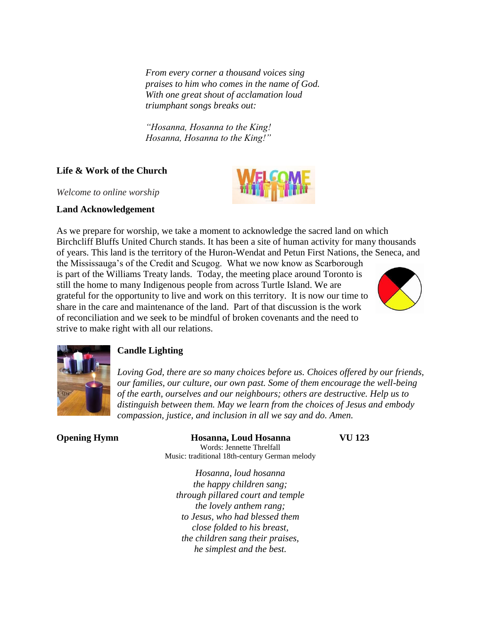*From every corner a thousand voices sing praises to him who comes in the name of God. With one great shout of acclamation loud triumphant songs breaks out:*

*"Hosanna, Hosanna to the King! Hosanna, Hosanna to the King!"*

# **Life & Work of the Church**

*Welcome to online worship*

## **Land Acknowledgement**

As we prepare for worship, we take a moment to acknowledge the sacred land on which Birchcliff Bluffs United Church stands. It has been a site of human activity for many thousands of years. This land is the territory of the Huron-Wendat and Petun First Nations, the Seneca, and

the Mississauga's of the Credit and Scugog. What we now know as Scarborough is part of the Williams Treaty lands. Today, the meeting place around Toronto is still the home to many Indigenous people from across Turtle Island. We are grateful for the opportunity to live and work on this territory. It is now our time to share in the care and maintenance of the land. Part of that discussion is the work of reconciliation and we seek to be mindful of broken covenants and the need to strive to make right with all our relations.





# **Candle Lighting**

*Loving God, there are so many choices before us. Choices offered by our friends, our families, our culture, our own past. Some of them encourage the well-being of the earth, ourselves and our neighbours; others are destructive. Help us to distinguish between them. May we learn from the choices of Jesus and embody compassion, justice, and inclusion in all we say and do. Amen.*

# **Opening Hymn Hosanna, Loud Hosanna VU 123**

Words: Jennette Threlfall Music: traditional 18th-century German melody

*Hosanna, loud hosanna the happy children sang; through pillared court and temple the lovely anthem rang; to Jesus, who had blessed them close folded to his breast, the children sang their praises, he simplest and the best.*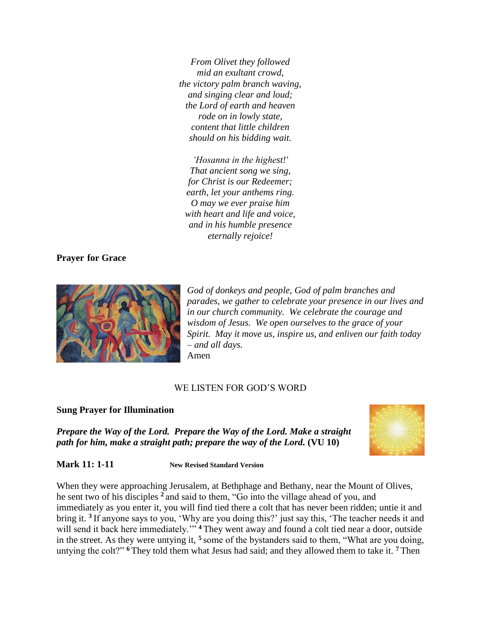*From Olivet they followed mid an exultant crowd, the victory palm branch waving, and singing clear and loud; the Lord of earth and heaven rode on in lowly state, content that little children should on his bidding wait.*

*'Hosanna in the highest!' That ancient song we sing, for Christ is our Redeemer; earth, let your anthems ring. O may we ever praise him with heart and life and voice, and in his humble presence eternally rejoice!*

### **Prayer for Grace**



*God of donkeys and people, God of palm branches and parades, we gather to celebrate your presence in our lives and in our church community. We celebrate the courage and wisdom of Jesus. We open ourselves to the grace of your Spirit. May it move us, inspire us, and enliven our faith today – and all days.*  Amen

### WE LISTEN FOR GOD'S WORD

### **Sung Prayer for Illumination**

*Prepare the Way of the Lord. Prepare the Way of the Lord. Make a straight path for him, make a straight path; prepare the way of the Lord.* **(VU 10)**



**Mark 11: 1-11 New Revised Standard Version**

When they were approaching Jerusalem, at Bethphage and Bethany, near the Mount of Olives, he sent two of his disciples **<sup>2</sup>** and said to them, "Go into the village ahead of you, and immediately as you enter it, you will find tied there a colt that has never been ridden; untie it and bring it. **<sup>3</sup>** If anyone says to you, 'Why are you doing this?' just say this, 'The teacher needs it and will send it back here immediately.<sup>"" 4</sup> They went away and found a colt tied near a door, outside in the street. As they were untying it, **<sup>5</sup>** some of the bystanders said to them, "What are you doing, untying the colt?" **<sup>6</sup>** They told them what Jesus had said; and they allowed them to take it. **<sup>7</sup>** Then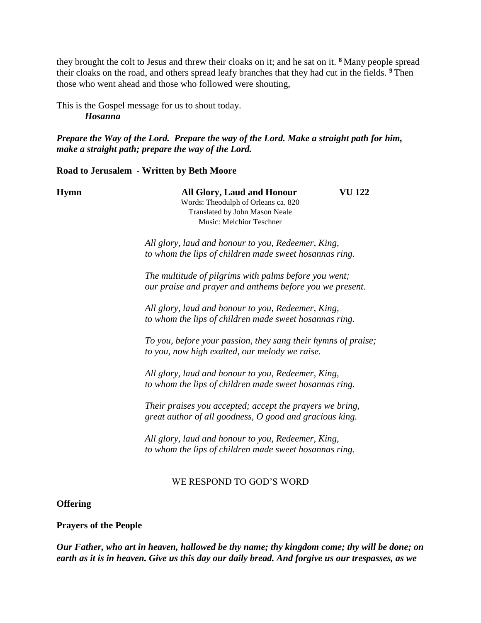they brought the colt to Jesus and threw their cloaks on it; and he sat on it. **<sup>8</sup>** Many people spread their cloaks on the road, and others spread leafy branches that they had cut in the fields. **<sup>9</sup>** Then those who went ahead and those who followed were shouting,

This is the Gospel message for us to shout today. *Hosanna*

*Prepare the Way of the Lord. Prepare the way of the Lord. Make a straight path for him, make a straight path; prepare the way of the Lord.*

**Road to Jerusalem - Written by Beth Moore**

**Hymn All Glory, Laud and Honour VU 122** Words: Theodulph of Orleans ca. 820 Translated by John Mason Neale Music: Melchior Teschner

> *All glory, laud and honour to you, Redeemer, King, to whom the lips of children made sweet hosannas ring.*

*The multitude of pilgrims with palms before you went; our praise and prayer and anthems before you we present.* 

*All glory, laud and honour to you, Redeemer, King, to whom the lips of children made sweet hosannas ring.*

*To you, before your passion, they sang their hymns of praise; to you, now high exalted, our melody we raise.* 

*All glory, laud and honour to you, Redeemer, King, to whom the lips of children made sweet hosannas ring.*

*Their praises you accepted; accept the prayers we bring, great author of all goodness, O good and gracious king.* 

*All glory, laud and honour to you, Redeemer, King, to whom the lips of children made sweet hosannas ring.*

# WE RESPOND TO GOD'S WORD

## **Offering**

## **Prayers of the People**

*Our Father, who art in heaven, hallowed be thy name; thy kingdom come; thy will be done; on earth as it is in heaven. Give us this day our daily bread. And forgive us our trespasses, as we*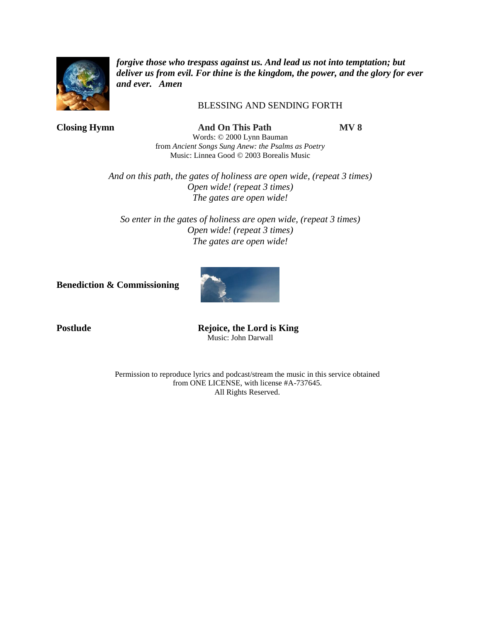

*forgive those who trespass against us. And lead us not into temptation; but deliver us from evil. For thine is the kingdom, the power, and the glory for ever and ever. Amen*

## BLESSING AND SENDING FORTH

**Closing Hymn And On This Path MV 8** Words: © 2000 Lynn Bauman from *Ancient Songs Sung Anew: the Psalms as Poetry* Music: Linnea Good © 2003 Borealis Music

> *And on this path, the gates of holiness are open wide, (repeat 3 times) Open wide! (repeat 3 times) The gates are open wide!*

*So enter in the gates of holiness are open wide, (repeat 3 times) Open wide! (repeat 3 times) The gates are open wide!*

**Benediction & Commissioning**



**Postlude Rejoice, the Lord is King** Music: John Darwall

> Permission to reproduce lyrics and podcast/stream the music in this service obtained from ONE LICENSE, with license #A-737645. All Rights Reserved.